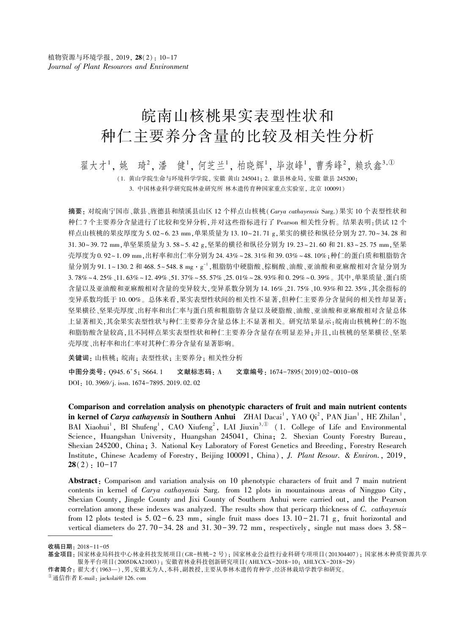# 皖南山核桃果实表型性状和 种仁主要养分含量的比较及相关性分析

翟大才<sup>1</sup>,姚 琦<sup>2</sup>,潘 健<sup>1</sup>,何芝兰<sup>1</sup>,柏晓辉<sup>1</sup>,毕淑峰<sup>1</sup>,曹秀峰<sup>2</sup>,赖玖鑫3,1 (1. 黄山学院生命与环境科学学院, 安徽 黄山 245041; 2. 歙县林业局, 安徽 歙县 245200; 3. 中国林业科学研究院林业研究所 林木遗传育种国家重点实验室, 北京 100091)

摘要: 对皖南宁国市、歙县、旌德县和绩溪县山区 12 个样点山核桃(Carya cathayensis Sarg.)果实 10 个表型性状和 种仁 7 个主要养分含量进行了比较和变异分析,并对这些指标进行了 Pearson 相关性分析。 结果表明:供试 12 个 样点山核桃的果皮厚度为 5. 02~6. 23 mm,单果质量为 13. 10~21. 71 g,果实的横径和纵径分别为 27. 70~34. 28 和 31. 30~39. 72 mm,单坚果质量为 3.58~5. 42 g,坚果的横径和纵径分别为 19. 23~21. 60 和 21. 83~25. 75 mm,坚果 壳厚度为 0. 92~ 1. 09 mm,出籽率和出仁率分别为 24. 43% ~ 28. 31%和 39. 03% ~ 48. 10%;种仁的蛋白质和粗脂肪含 量分别为 91. 1~ 130. 2 和 468. 5~ 548. 8 mg·g -1 ,粗脂肪中硬脂酸、棕榈酸、油酸、亚油酸和亚麻酸相对含量分别为 3. 78% ~ 4. 25%、11. 63% ~ 12. 49%、51. 37% ~ 55. 57%、25. 01% ~ 28. 93%和 0. 29% ~ 0. 39%。 其中,单果质量、蛋白质 含量以及亚油酸和亚麻酸相对含量的变异较大,变异系数分别为 14. 16%、21. 75%、10. 93%和 22. 35%,其余指标的 变异系数均低于 10. 00%。 总体来看,果实表型性状间的相关性不显著,但种仁主要养分含量间的相关性却显著; 坚果横径、坚果壳厚度、出籽率和出仁率与蛋白质和粗脂肪含量以及硬脂酸、油酸、亚油酸和亚麻酸相对含量总体 上显著相关,其余果实表型性状与种仁主要养分含量总体上不显著相关。 研究结果显示:皖南山核桃种仁的不饱 和脂肪酸含量较高,且不同样点果实表型性状和种仁主要养分含量存在明显差异;并且,山核桃的坚果横径、坚果 壳厚度、出籽率和出仁率对其种仁养分含量有显著影响。

关键词: 山核桃; 皖南; 表型性状; 主要养分; 相关性分析

中图分类号: $Q$ 945.  $6^{\circ}$ 文献标志码: A 文章编号: 1674-7895(2019)02-0010-08 DOI: 10. 3969/j. issn. 1674-7895. 2019. 02. 02

Comparison and correlation analysis on phenotypic characters of fruit and main nutrient contents in kernel of *Carya cathayensis* in Southern Anhui ZHAI  $\text{Dacai}^1$ , YAO  $\text{Qi}^2$ , PAN Jian<sup>1</sup>, HE Zhilan<sup>1</sup>, BAI Xiaohui<sup>1</sup>, BI Shufeng<sup>1</sup>, CAO Xiufeng<sup>2</sup>, LAI Jiuxin<sup>3, O</sup> (1. College of Life and Environmental Science, Huangshan University, Huangshan 245041, China; 2. Shexian County Forestry Bureau, Shexian 245200, China; 3. National Key Laboratory of Forest Genetics and Breeding, Forestry Research Institute, Chinese Academy of Forestry, Beijing 100091, China), J. Plant Resour. & Environ., 2019,  $28(2): 10-17$ 

Abstract: Comparison and variation analysis on 10 phenotypic characters of fruit and 7 main nutrient contents in kernel of Carya cathayensis Sarg. from 12 plots in mountainous areas of Ningguo City, Shexian County, Jingde County and Jixi County of Southern Anhui were carried out, and the Pearson correlation among these indexes was analyzed. The results show that pericarp thickness of C. cathayensis from 12 plots tested is  $5.02 - 6.23$  mm, single fruit mass does 13. 10 - 21. 71 g, fruit horizontal and vertical diameters do  $27.70-34.28$  and  $31.30-39.72$  mm, respectively, single nut mass does  $3.58-$ 

收稿日期: 2018-11-05

基金项目: 国家林业局科技中心林业科技发展项目(GR-核桃-2 号); 国家林业公益性行业科研专项项目(201304407); 国家林木种质资源共享 服务平台项目(2005DKA21003); 安徽省林业科技创新研究项目(AHLYCX-2018-10; AHLYCX-2018-29)

作者简介: 翟大才(1963—),男,安徽无为人,本科,副教授,主要从事林木遗传育种学、经济林栽培学教学和研究。

 $^{\circledR}$ 通信作者 E-mail: jackolai@ 126. com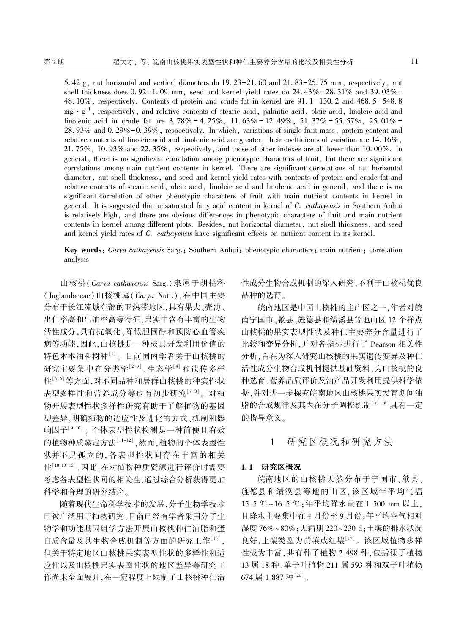5. 42 g, nut horizontal and vertical diameters do 19. 23-21. 60 and 21. 83-25. 75 mm, respectively, nut shell thickness does 0.  $92-1.09$  mm, seed and kernel yield rates do  $24.43\% - 28.31\%$  and 39.03% -48. 10%, respectively. Contents of protein and crude fat in kernel are 91. 1-130. 2 and 468. 5-548. 8  $mg \cdot g^{-1}$ , respectively, and relative contents of stearic acid, palmitic acid, oleic acid, linoleic acid and linolenic acid in crude fat are 3. 78% - 4. 25%, 11. 63% - 12. 49%, 51. 37% - 55. 57%, 25. 01% - 28. 93% and 0. 29%-0. 39%, respectively. In which, variations of single fruit mass, protein content and relative contents of linoleic acid and linolenic acid are greater, their coefficients of variation are 14. 16%, 21. 75%, 10. 93% and 22. 35%, respectively, and those of other indexes are all lower than 10. 00%. In general, there is no significant correlation among phenotypic characters of fruit, but there are significant correlations among main nutrient contents in kernel. There are significant correlations of nut horizontal diameter, nut shell thickness, and seed and kernel yield rates with contents of protein and crude fat and relative contents of stearic acid, oleic acid, linoleic acid and linolenic acid in general, and there is no significant correlation of other phenotypic characters of fruit with main nutrient contents in kernel in general. It is suggested that unsaturated fatty acid content in kernel of C. cathayensis in Southern Anhui is relatively high, and there are obvious differences in phenotypic characters of fruit and main nutrient contents in kernel among different plots. Besides, nut horizontal diameter, nut shell thickness, and seed and kernel yield rates of C. cathayensis have significant effects on nutrient content in its kernel.

Key words: Carya cathayensis Sarg.; Southern Anhui; phenotypic characters; main nutrient; correlation analysis

山核桃(Carya cathayensis Sarg.) 隶属于胡桃科 (Juglandaceae) 山核桃属(Carya Nutt.),在中国主要 分布于长江流域东部的亚热带地区,具有果大、壳薄、 出仁率高和出油率高等特征,果实中含有丰富的生物 活性成分,具有抗氧化、降低胆固醇和预防心血管疾 病等功能,因此,山核桃是一种极具开发利用价值的 特色木本油料树种<sup>[1]</sup>。目前国内学者关于山核桃的 研究主要集中在分类学<sup>[2-3]</sup> 、生态学<sup>[4]</sup> 和遗传多样 性[5-6]等方面,对不同品种和居群山核桃的种实性状 表型多样性和营养成分等也有初步研究<sup>[7-8]</sup>。对植 物开展表型性状多样性研究有助于了解植物的基因 型差异,明确植物的适应性及进化的方式、机制和影 响因子[9-10] 。 个体表型性状检测是一种简便且有效 的植物种质鉴定方法[11-12] ,然而,植物的个体表型性 状并不是孤立的,各表型性状间存在丰富的相关 性[10,13-15],因此,在对植物种质资源进行评价时需要 考虑各表型性状间的相关性,通过综合分析获得更加 科学和合理的研究结论。

随着现代生命科学技术的发展,分子生物学技术 已被广泛用于植物研究,目前已经有学者采用分子生 物学和功能基因组学方法开展山核桃种仁油脂和蛋 白质含量及其生物合成机制等方面的研究工作<sup>[16]</sup>, 但关于特定地区山核桃果实表型性状的多样性和适 应性以及山核桃果实表型性状的地区差异等研究工 作尚未全面展开,在一定程度上限制了山核桃种仁活

性成分生物合成机制的深入研究,不利于山核桃优良 品种的选育。

皖南地区是中国山核桃的主产区之一,作者对皖 南宁国市、歙县、旌德县和绩溪县等地山区 12 个样点 山核桃的果实表型性状及种仁主要养分含量进行了 比较和变异分析,并对各指标进行了 Pearson 相关性 分析,旨在为深入研究山核桃的果实遗传变异及种仁 活性成分生物合成机制提供基础资料,为山核桃的良 种选育、营养品质评价及油产品开发利用提供科学依 据,并对进一步探究皖南地区山核桃果实发育期间油 脂的合成规律及其内在分子调控机制[17-18] 具有一定 的指导意义。

## 1 研究区概况和研究方法

#### 1. 1 研究区概况

皖南地区的山核桃天然分布于宁国市、歙县、 旌德县和绩溪县等地的山区,该区域年平均气温 15. 5 ℃ ~16. 5 ℃ ;年平均降水量在 1 500 mm 以上, 且降水主要集中在 4 月份至 9 月份;年平均空气相对 湿度 76% ~80%;无霜期 220~230 d;土壤的排水状况 良好,土壤类型为黄壤或红壤[19] 。 该区域植物多样 性极为丰富,共有种子植物 2 498 种,包括裸子植物 13 属 18 种、单子叶植物 211 属 593 种和双子叶植物  $674$  属 1 887 种 $^{[20]}$ 。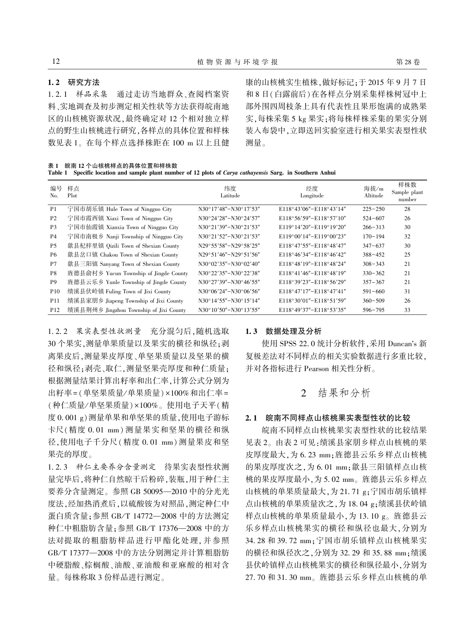#### 1. 2 研究方法

1. 2. 1 样品采集 通过走访当地群众、查阅档案资 料、实地调查及初步测定相关性状等方法获得皖南地 区的山核桃资源状况,最终确定对 12 个相对独立样 点的野生山核桃进行研究,各样点的具体位置和样株 数见表 1。 在每个样点选择株距在 100 m 以上且健 康的山核桃实生植株,做好标记;于 2015 年 9 月 7 日 和 8 日(白露前后)在各样点分别采集样株树冠中上 部外围四周枝条上具有代表性且果形饱满的成熟果 实,每株采集 5 kg 果实;将每株样株采集的果实分别 装入布袋中,立即送回实验室进行相关果实表型性状 测量。

表 1 皖南 12 个山核桃样点的具体位置和样株数

|  |  |  |  |  |  | Table 1 Specific location and sample plant number of 12 plots of <i>Carya cathayensis</i> Sarg. in Southern Anhui |
|--|--|--|--|--|--|-------------------------------------------------------------------------------------------------------------------|
|--|--|--|--|--|--|-------------------------------------------------------------------------------------------------------------------|

| 编号<br>No.       | 样点<br>Plot                              | 纬度<br>Latitude                            | 经度<br>Longitude             | 海拔/m<br>Altitude | 样株数<br>Sample plant<br>number |
|-----------------|-----------------------------------------|-------------------------------------------|-----------------------------|------------------|-------------------------------|
| P <sub>1</sub>  | 宁国市胡乐镇 Hule Town of Ningguo City        | N30°17'48"-N30°17'53"                     | $E118°43'06" - E118°43'14"$ | $225 - 250$      | 28                            |
| P <sub>2</sub>  | 宁国市霞西镇 Xiaxi Town of Ningguo City       | N30°24'28"-N30°24'57"                     | $E118°56'59" - E118°57'10"$ | $524 - 607$      | 26                            |
| P <sub>3</sub>  | 宁国市仙霞镇 Xianxia Town of Ningguo City     | N30°21'39"-N30°21'53"                     | E119°14'20"-E119°19'20"     | $266 - 313$      | 30                            |
| P4              | 宁国市南极乡 Nanji Township of Ningguo City   | N30°21'52"-N30°21'53"                     | $E119°00'14" - E119°00'23"$ | $170 - 194$      | 32                            |
| P <sub>5</sub>  | 歙县杞梓里镇 Qizili Town of Shexian County    | N29°55'58"-N29°58'25"                     | $E118°47'55" - E118°48'47"$ | $347 - 637$      | 30                            |
| P6              | 歙县岔口镇 Chakou Town of Shexian County     | N29°51'46"-N29°51'56"                     | $E118°46'34" - E118°46'42"$ | $388 - 452$      | 25                            |
| P7              | 歙县三阳镇 Sanyang Town of Shexian County    | N30°02'35"-N30°02'40"                     | E118°48'19"-E118°48'24"     | $308 - 343$      | 21                            |
| P8              | 旌德县俞村乡 Yucun Township of Jingde County  | N30°22'35"-N30°22'38"                     | $E118°41'46" - E118°48'19"$ | $330 - 362$      | 21                            |
| P <sub>9</sub>  | 旌德县云乐乡 Yunle Township of Jingde County  | N30°27'39"-N30°46'55"                     | $E118°39'23" - E118°56'29"$ | $357 - 367$      | 21                            |
| P <sub>10</sub> | 绩溪县伏岭镇 Fuling Town of Jixi County       | $N30^{\circ}06'24'' - N30^{\circ}06'56''$ | $E118°47'17" - E118°47'41"$ | $591 - 660$      | 31                            |
| P11             | 绩溪县家朋乡 Jiapeng Township of Jixi County  | N30°14'55"-N30°15'14"                     | E118°30'01"-E118°51'59"     | $360 - 509$      | 26                            |
| P <sub>12</sub> | 绩溪县荆州乡 Jingzhou Township of Jixi County | $N30^{\circ}10'50'' - N30^{\circ}13'55''$ | $E118°49'37" - E118°53'35"$ | $596 - 795$      | 33                            |

1. 2. 2 果实表型性状测量 充分混匀后,随机选取 30 个果实,测量单果质量以及果实的横径和纵径;剥 离果皮后,测量果皮厚度、单坚果质量以及坚果的横 径和纵径;剥壳、取仁,测量坚果壳厚度和种仁质量; 根据测量结果计算出籽率和出仁率,计算公式分别为 出籽率= (单坚果质量/ 单果质量) ×100%和出仁率 = (种仁质量/ 单坚果质量) ×100%。 使用电子天平(精 度 0. 001 g)测量单果和单坚果的质量,使用电子游标 卡尺(精度 0. 01 mm) 测量果实和坚果的横径和纵 径,使用电子千分尺(精度 0. 01 mm) 测量果皮和坚 果壳的厚度。

1. 2. 3 种仁主要养分含量测定 待果实表型性状测 量完毕后,将种仁自然晾干后粉碎,装瓶,用于种仁主 要养分含量测定。 参照 GB 50095—2010 中的分光光 度法,经加热消煮后,以硫酸铵为对照品,测定种仁中 蛋白质含量;参照 GB/T 14772-2008 中的方法测定 种仁中粗脂肪含量;参照 GB/T 17376-2008 中的方 法对提取的粗脂肪样品进行甲酯化处理,并参照 GB/T 17377-2008 中的方法分别测定并计算粗脂肪 中硬脂酸、棕榈酸、油酸、亚油酸和亚麻酸的相对含 量。 每株称取 3 份样品进行测定。

#### 1. 3 数据处理及分析

使用 SPSS 22.0 统计分析软件,采用 Duncan's 新 复极差法对不同样点的相关实验数据进行多重比较, 并对各指标进行 Pearson 相关性分析。

## 2 结果和分析

#### 2. 1 皖南不同样点山核桃果实表型性状的比较

皖南不同样点山核桃果实表型性状的比较结果 见表 2。 由表 2 可见:绩溪县家朋乡样点山核桃的果 皮厚度最大,为 6. 23 mm;旌德县云乐乡样点山核桃 的果皮厚度次之,为 6. 01 mm;歙县三阳镇样点山核 桃的果皮厚度最小,为 5. 02 mm。 旌德县云乐乡样点 山核桃的单果质量最大,为 21. 71 g;宁国市胡乐镇样 点山核桃的单果质量次之,为 18. 04 g;绩溪县伏岭镇 样点山核桃的单果质量最小,为 13. 10 g。 旌德县云 乐乡样点山核桃果实的横径和纵径也最大,分别为 34. 28 和 39. 72 mm;宁国市胡乐镇样点山核桃果实 的横径和纵径次之,分别为 32. 29 和 35. 88 mm;绩溪 县伏岭镇样点山核桃果实的横径和纵径最小,分别为 27. 70 和 31. 30 mm。 旌德县云乐乡样点山核桃的单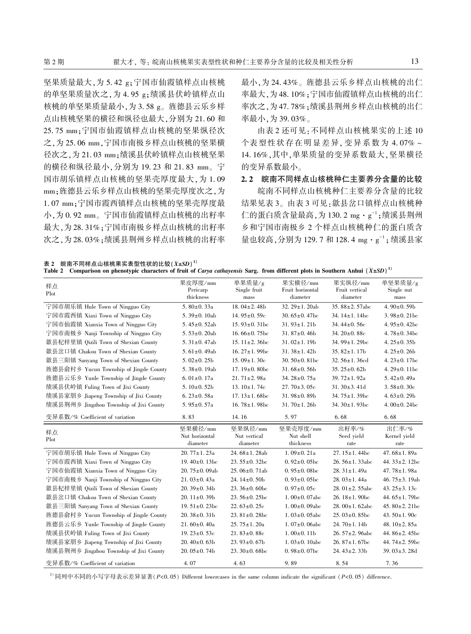坚果质量最大,为 5. 42 g;宁国市仙霞镇样点山核桃 的单坚果质量次之,为 4. 95 g;绩溪县伏岭镇样点山 核桃的单坚果质量最小,为 3. 58 g。 旌德县云乐乡样 点山核桃坚果的横径和纵径也最大,分别为 21. 60 和 25. 75 mm;宁国市仙霞镇样点山核桃的坚果纵径次 之,为 25. 06 mm,宁国市南极乡样点山核桃的坚果横 径次之,为 21. 03 mm;绩溪县伏岭镇样点山核桃坚果 的横径和纵径最小,分别为 19. 23 和 21. 83 mm。 宁 国市胡乐镇样点山核桃的坚果壳厚度最大,为 1. 09 mm;旌德县云乐乡样点山核桃的坚果壳厚度次之,为 1. 07 mm;宁国市霞西镇样点山核桃的坚果壳厚度最 小,为 0. 92 mm。 宁国市仙霞镇样点山核桃的出籽率 最大,为 28. 31%;宁国市南极乡样点山核桃的出籽率 次之,为 28. 03%;绩溪县荆州乡样点山核桃的出籽率 最小,为 24. 43%。 旌德县云乐乡样点山核桃的出仁 率最大,为 48. 10%;宁国市仙霞镇样点山核桃的出仁 率次之,为 47. 78%;绩溪县荆州乡样点山核桃的出仁 率最小,为 39. 03%。

由表 2 还可见:不同样点山核桃果实的上述 10 个表型性状存在明显差异, 变异系数为 4. 07% ~ 14. 16%,其中,单果质量的变异系数最大,坚果横径 的变异系数最小。

### 2. 2 皖南不同样点山核桃种仁主要养分含量的比较

皖南不同样点山核桃种仁主要养分含量的比较 结果见表 3。 由表 3 可见:歙县岔口镇样点山核桃种 仁的蛋白质含量最高,为 130. 2 mg·g -1 ;绩溪县荆州 乡和宁国市南极乡 2 个样点山核桃种仁的蛋白质含 量也较高,分别为 129. 7 和 128. 4  $_{\rm{mg}} \cdot$   $_{\rm{g}}^{-1}$  ; 绩溪县家

表 2 皖南不同样点山核桃果实表型性状的比较 $(\overline{X}$ ± $SD)^{1)}$ 

| Table 2 Comparison on phenotypic characters of fruit of Carya cathayensis Sarg. from different plots in Southern Anhui $(\bar{X} \pm SD)^{1}$ |  |  |
|-----------------------------------------------------------------------------------------------------------------------------------------------|--|--|

| 样点<br>Plot                              | 果皮厚度/mm<br>Pericarp<br>thickness      | 单果质量/g<br>Single fruit<br>mass      | 果实横径/mm<br>Fruit horizontal<br>diameter | 果实纵径/mm<br>Fruit vertical<br>diameter | 单坚果质量/g<br>Single nut<br>mass |
|-----------------------------------------|---------------------------------------|-------------------------------------|-----------------------------------------|---------------------------------------|-------------------------------|
| 宁国市胡乐镇 Hule Town of Ningguo City        | 5.80 $\pm$ 0.33a                      | 18.04 $\pm$ 2.48b                   | 32. $29 \pm 1$ . 20ab                   | 35.88 $\pm$ 2.57abc                   | 4.90 $\pm$ 0.59b              |
| 宁国市霞西镇 Xiaxi Town of Ningguo City       | $5.39 \pm 0.10$ ab                    | 14.95 $\pm$ 0.59 $c$                | 30.65 $\pm$ 0.47bc                      | 34. $14 \pm 1$ . 14bc                 | $3.98 \pm 0.21$ bc            |
| 宁国市仙霞镇 Xianxia Town of Ningguo City     | 5.45 $\pm$ 0.52ab                     | $15.93 \pm 0.31$ bc                 | $31.93 \pm 1.21$                        | 34.44 $\pm$ 0.56 $c$                  | 4.95 $\pm$ 0.42bc             |
| 宁国市南极乡 Nanji Township of Ningguo City   | $5.53 \pm 0.20$ ab                    | 16.66 $\pm$ 0.75bc                  | $31.87 \pm 0.46$                        | 34. $20 \pm 0.88$ c                   | 4.78 $\pm$ 0.34bc             |
| 歙县杞梓里镇 Qizili Town of Shexian County    | 5. $31 \pm 0.47$ ab                   | 15. $11\pm2.36$ bc                  | $31.02 \pm 1.19$ b                      | 34.99 $\pm$ 1.29bc                    | 4.25 $\pm$ 0.35b              |
| 歙县岔口镇 Chakou Town of Shexian County     | 5.61 $\pm$ 0.49ab                     | 16.27 $\pm$ 1.99bc                  | $31.38 \pm 1.42$                        | $35.82 \pm 1.17$ b                    | 4. $25 \pm 0.26$              |
| 歙县三阳镇 Sanyang Town of Shexian County    | $5.02 \pm 0.25$                       | $15.09 \pm 1.30c$                   | 30.50 $\pm$ 0.81bc                      | 32.56 $\pm$ 1.36 $cd$                 | 4.23 $\pm$ 0.17bc             |
| 旌德县俞村乡 Yucun Township of Jingde County  | 5.38 $\pm$ 0.19ab                     | 17.19 $\pm$ 0.80bc                  | $31.68 \pm 0.56$                        | $35.25 \pm 0.62b$                     | 4.29 $\pm$ 0.11bc             |
| 旌德县云乐乡 Yunle Township of Jingde County  | 6.01 $\pm$ 0.17a                      | $21.71 \pm 2.98a$                   | 34.28±0.75a                             | 39.72±1.92a                           | $5.42 \pm 0.49a$              |
| 绩溪县伏岭镇 Fuling Town of Jixi County       | 5.10 $\pm$ 0.52b                      | 13.10 $\pm$ 1.74 $c$                | $27.70 \pm 3.05c$                       | $31.30 \pm 3.41$ d                    | $3.58 \pm 0.30c$              |
| 绩溪县家朋乡 Jiapeng Township of Jixi County  | 6. $23 \pm 0.58a$                     | 17. $13 \pm 1.68$ bc                | $31.98 \pm 0.89$ b                      | 34.75 $\pm$ 1.39bc                    | 4.63 $\pm$ 0.29b              |
| 绩溪县荆州乡 Jingzhou Township of Jixi County | 5.95 $\pm$ 0.57a                      | 16.78 $\pm$ 1.98bc                  | $31.70 \pm 1.26$                        | 34. $30 \pm 1$ , 93bc                 | 4.00 $\pm$ 0.24bc             |
| 变异系数/% Coefficient of variation         | 8.83                                  | 14.16                               | 5.97                                    | 6.68                                  | 6.68                          |
|                                         |                                       |                                     |                                         |                                       |                               |
| 样点<br>Plot                              | 坚果横径/mm<br>Nut horizontal<br>diameter | 坚果纵径/mm<br>Nut vertical<br>diameter | 坚果壳厚度/mm<br>Nut shell<br>thickness      | 出籽率/%<br>Seed yield<br>rate           | 出仁率/%<br>Kernel yield<br>rate |
| 宁国市胡乐镇 Hule Town of Ningguo City        | $20.77 \pm 1.23a$                     | 24.68 $\pm$ 1.28ab                  | $1.09 \pm 0.21a$                        | 27. $15 \pm 1.44$ bc                  | 47.68 $\pm$ 1.89a             |
| 宁国市霞西镇 Xiaxi Town of Ningguo City       | 19.40 $\pm$ 0.13bc                    | $23.55 \pm 0.32$ bc                 | $0.92 \pm 0.05$ bc                      | $26.56 \pm 1.33$ abc                  | 44. $33 \pm 2$ , 12bc         |
| 宁国市仙霞镇 Xianxia Town of Ningguo City     | 20.75±0.09ab                          | $25.06 \pm 0.71$ ab                 | $0.95 \pm 0.08$ bc                      | $28.31 \pm 1.49a$                     | 47.78 $\pm$ 1.98a             |
| 宁国市南极乡 Nanji Township of Ningguo City   | $21.03 \pm 0.43a$                     | 24. $14\pm0.50b$                    | $0.93 \pm 0.05$ bc                      | $28.03 \pm 1.44a$                     | 46.75 $\pm$ 3.19ab            |
| 歙县杞梓里镇 Qizili Town of Shexian County    | $20.39 \pm 0.34$                      | $23.36 \pm 0.60$                    | $0.97 \pm 0.05c$                        | 28.01 $\pm$ 2.55abc                   | 43. $25 \pm 3$ . 13c          |
| 歙县岔口镇 Chakou Town of Shexian County     | 20. $11\pm0.39b$                      | $23.56 \pm 0.25$ bc                 | $1.00 \pm 0.07$ abc                     | 26. $18 \pm 1.90$ bc                  | 44.65 $\pm$ 1.79bc            |
| 歙县三阳镇 Sanyang Town of Shexian County    | 19.51 $\pm$ 0.23bc                    | 22. $63 \pm 0.25c$                  | $1.00 \pm 0.09$ abc                     | $28.00 \pm 1.62$ abc                  | 45.80 $\pm$ 2.21bc            |
| 旌德县俞村乡 Yucun Township of Jingde County  | $20.38 \pm 0.31$                      | 23. $81 \pm 0.28$ bc                | $1.03 \pm 0.05$ abc                     | $25.03 \pm 0.85$ bc                   | 43.50 $\pm$ 1.90 $c$          |
| 旌德县云乐乡 Yunle Township of Jingde County  | $21.60 \pm 0.40a$                     | $25.75 \pm 1.20a$                   | $1.07 \pm 0.06$ abc                     | $24.70 \pm 1.14$                      | 48.10 $\pm$ 2.85a             |
| 绩溪县伏岭镇 Fuling Town of Jixi County       | 19.23 $\pm$ 0.53 $c$                  | $21.83 \pm 0.88c$                   | $1.00\pm0.11b$                          | 26. $57 \pm 2$ . 96abc                | 44.86 $\pm$ 2.45bc            |
| 绩溪县家朋乡 Jiapeng Township of Jixi County  | $20.40 \pm 0.63$                      | $23.93 \pm 0.67$ b                  | $1.03 \pm 0.10$ abc                     | $26.87 \pm 1.67$ bc                   | 44.74 $\pm$ 2.59bc            |
| 绩溪县荆州乡 Jingzhou Township of Jixi County | $20.05 \pm 0.74$                      | $23.30\pm0.68$ bc                   | $0.98 \pm 0.07$ bc                      | $24.43 \pm 2.33 b$                    | $39.03 \pm 3.28$ d            |

<sup>1)</sup> 同列中不同的小写字母表示差异显著(P<0.05) Different lowercases in the same column indicate the significant (P<0.05) difference.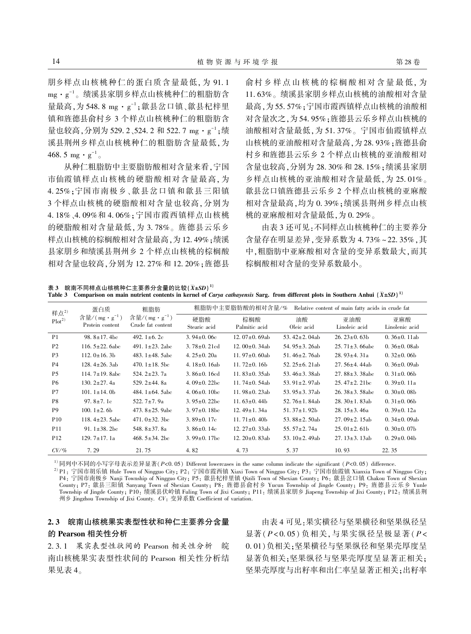朋乡样点山核桃种仁的蛋白质含量最低,为 91. 1 mg・g<sup>-1</sup>。绩溪县家朋乡样点山核桃种仁的粗脂肪含 量最高,为 548.8 mg・g<sup>-1</sup>;歙县岔口镇、歙县杞梓里 镇和旌德县俞村乡 3 个样点山核桃种仁的粗脂肪含 量也较高,分别为 529. 2、524. 2 和 522. 7 mg · g<sup>-1</sup>;绩 溪县荆州乡样点山核桃种仁的粗脂肪含量最低,为 468. 5 mg  $\cdot$  g<sup>-1</sup>  $\circ$ 

从种仁粗脂肪中主要脂肪酸相对含量来看,宁国 市仙霞镇样点山核桃的硬脂酸相对含量最高,为 4. 25%;宁国市南极乡、歙县岔口镇和歙县三阳镇 3 个样点山核桃的硬脂酸相对含量也较高,分别为 4. 18%、4. 09%和 4. 06%;宁国市霞西镇样点山核桃 的硬脂酸相对含量最低,为 3. 78%。 旌德县云乐乡 样点山核桃的棕榈酸相对含量最高,为12.49%;绩溪 县家朋乡和绩溪县荆州乡 2 个样点山核桃的棕榈酸 相对含量也较高,分别为 12. 27%和 12. 20%;旌德县 俞村 乡 样 点 山 核 桃 的 棕 榈 酸 相 对 含 量 最 低, 为 11. 63%。 绩溪县家朋乡样点山核桃的油酸相对含量 最高,为 55. 57%;宁国市霞西镇样点山核桃的油酸相 对含量次之,为 54. 95%;旌德县云乐乡样点山核桃的 油酸相对含量最低,为 51. 37%。 宁国市仙霞镇样点 山核桃的亚油酸相对含量最高,为 28. 93%;旌德县俞 村乡和旌德县云乐乡 2 个样点山核桃的亚油酸相对 含量也较高,分别为 28. 30%和 28. 15%;绩溪县家朋 乡样点山核桃的亚油酸相对含量最低,为 25. 01%。 歙县岔口镇旌德县云乐乡 2 个样点山核桃的亚麻酸 相对含量最高,均为 0. 39%;绩溪县荆州乡样点山核 桃的亚麻酸相对含量最低,为 0. 29%。

由表 3 还可见:不同样点山核桃种仁的主要养分 含量存在明显差异,变异系数为 4. 73% ~ 22. 35%,其 中,粗脂肪中亚麻酸相对含量的变异系数最大,而其 棕榈酸相对含量的变异系数最小。

表 3 皖南不同样点山核桃种仁主要养分含量的比较 $(\overline{X}{\texttt{\texttt{+SD}}})^{\texttt{1}}$ 

Table 3 Comparison on main nutrient contents in kernel of *Carya cathayensis* Sarg. from different plots in Southern Anhui  $(\bar{X} \pm SD)^{1}$ 

| 样点 $2$            | 蛋白质                                         | 粗脂肪                                           | 粗脂肪中主要脂肪酸的相对含量/%<br>Relative content of main fatty acids in crude fat |                      |                       |                      |                       |  |
|-------------------|---------------------------------------------|-----------------------------------------------|-----------------------------------------------------------------------|----------------------|-----------------------|----------------------|-----------------------|--|
| Plot <sup>2</sup> | 含量/(mg・g <sup>-1</sup> )<br>Protein content | 含量/(mg・g <sup>-1</sup> )<br>Crude fat content | 硬脂酸<br>Stearic acid                                                   | 棕榈酸<br>Palmitic acid | 油酸<br>Oleic acid      | 亚油酸<br>Linoleic acid | 亚麻酸<br>Linolenic acid |  |
| P <sub>1</sub>    | 98. $8 \pm 17$ . 4bc                        | 492. $1 \pm 6$ . 2c                           | $3.94 \pm 0.06c$                                                      | 12.07 $\pm$ 0.69ab   | 53.42 $\pm$ 2.04ab    | $26.23 \pm 0.63 b$   | $0.36 \pm 0.11$ ab    |  |
| P <sub>2</sub>    | 116. $5\pm 22$ . 6abc.                      | 491. $1\pm 23$ . 2abc.                        | $3.78 \pm 0.21$ cd                                                    | 12.00 $\pm$ 0.34ab   | 54.95 $\pm$ 3.26ab    | $25.71 \pm 3.66$ abc | 0. $36\pm0.08ab$      |  |
| P <sub>3</sub>    | 112.0 $\pm$ 16.3b                           | 483.1 $\pm$ 48.5abc                           | 4. $25 \pm 0.20a$                                                     | 11.97 $\pm$ 0.60ab   | 51.46 $\pm$ 2.76ab    | $28.93 \pm 4.31a$    | $0.32\pm0.06b$        |  |
| <b>P4</b>         | 128.4 $\pm$ 26.3ab                          | 470. $1 \pm 18$ . 5bc                         | 4. $18\pm0.16ab$                                                      | 11.72 $\pm$ 0.16b    | 52. $25 \pm 6$ . 21ab | 27. $56\pm4.44ab$    | 0. $36\pm0.09ab$      |  |
| P <sub>5</sub>    | 114.7 $\pm$ 19.8abc                         | 524. $2\pm 23.7a$                             | $3.86 \pm 0.16$ cd                                                    | 11.83 $\pm$ 0.35ab   | 53.46 $\pm$ 3.38ab    | $27.88 \pm 3.38$ abc | $0.31 \pm 0.06$       |  |
| P <sub>6</sub>    | 130. $2\pm 27.4a$                           | 529.2 $\pm$ 44.8a                             | 4.09 $\pm$ 0.22bc                                                     | 11.74 $\pm$ 0.54ab   | 53. $91 \pm 2.97$ ab  | $25.47 \pm 2.21$ bc  | $0.39 \pm 0.11a$      |  |
| P7                | 101. $1 \pm 14$ . 0b                        | 484.1 $\pm$ 64.5abc                           | 4.06 $\pm$ 0.10bc                                                     | 11.98 $\pm$ 0.23ab   | 53.95 $\pm$ 3.37ab    | $26.38 \pm 3.58$ abc | $0.30\pm0.08b$        |  |
| P8                | 97.8 $\pm$ 7.1 $c$                          | 522.7 $\pm$ 7.9a                              | $3.95\pm0.22$ bc                                                      | 11.63 $\pm$ 0.44b    | 52.76 $\pm$ 1.84ab    | $28.30 \pm 1.83$ ab  | $0.31 \pm 0.06$       |  |
| P <sub>9</sub>    | 100. $1\pm 2$ , 6b                          | 473. $8\pm 25$ . 9abc                         | $3.97\pm0.18$ bc                                                      | 12.49 $\pm$ 1.34a    | $51.37 \pm 1.92 b$    | 28. $15\pm3.46a$     | $0.39 \pm 0.12$ a     |  |
| P <sub>10</sub>   | 118.4 $\pm$ 23.5abc                         | $471.0 \pm 32.3$ bc                           | 3.89 $\pm$ 0.17 $\rm{c}$                                              | 11.71 $\pm$ 0.40b    | 53.88 $\pm$ 2.50ab    | $27.09 \pm 2.15$ ab  | 0. $34\pm0.09ab$      |  |
| <b>P11</b>        | 91. $1\pm 38$ . 2bc                         | 548.8 $\pm$ 37.8a                             | 3.86 $\pm$ 0.14 $c$                                                   | 12. $27 \pm 0.33$ ab | 55. $57\pm2.74a$      | $25.01 \pm 2.61$     | $0.30\pm0.07b$        |  |
| P <sub>12</sub>   | $129.7 \pm 17.1a$                           | 468. $5\pm34$ . 2bc                           | $3.99 \pm 0.17$ bc                                                    | 12. $20\pm 0.83$ ab  | 53. $10\pm 2.49$ ab   | $27.13 \pm 3.13$ ab  | $0.29 \pm 0.04$       |  |
| $CV\%$            | 7.29                                        | 21.75                                         | 4.82                                                                  | 4.73                 | 5.37                  | 10.93                | 22.35                 |  |

<sup>1)</sup> 同列中不同的小写字母表示差异显著(P<0.05) Different lowercases in the same column indicate the significant (P<0.05) difference.

<sup>2)</sup> P1:宁国市胡乐镇 Hule Town of Ningguo City;P2:宁国市霞西镇 Xiaxi Town of Ningguo City;P3:宁国市仙霞镇 Xianxia Town of Ningguo City; P4: 宁国市南极乡 Nanji Township of Ningguo City; P5: 歙县杞梓里镇 Qizili Town of Shexian County; P6: 歙县岔口镇 Chakou Town of Shexian County; P7: 歙县三阳镇 Sanyang Town of Shexian County; P8: 旌德县俞村乡 Yucun Township of Jingde County; P9: 旌德县云乐乡 Yunle Township of Jingde County; P10: 绩溪县伏岭镇 Fuling Town of Jixi County; P11: 绩溪县家朋乡 Jiapeng Township of Jixi County; P12: 绩溪县荆 州乡 Jingzhou Township of Jixi County. CV: 变异系数 Coefficient of variation.

#### 2. 3 皖南山核桃果实表型性状和种仁主要养分含量

#### 的 Pearson 相关性分析

2. 3. 1 果实表型性状间的 Pearson 相关性分析 皖 南山核桃果实表型性状间的 Pearson 相关性分析结 果见表 4。

由表 4 可见:果实横径与坚果横径和坚果纵径呈 显著( $P$ <0.05)负相关,与果实纵径呈极显著( $P$ < 0. 01)负相关;坚果横径与坚果纵径和坚果壳厚度呈 显著负相关;坚果纵径与坚果壳厚度呈显著正相关; 坚果壳厚度与出籽率和出仁率呈显著正相关;出籽率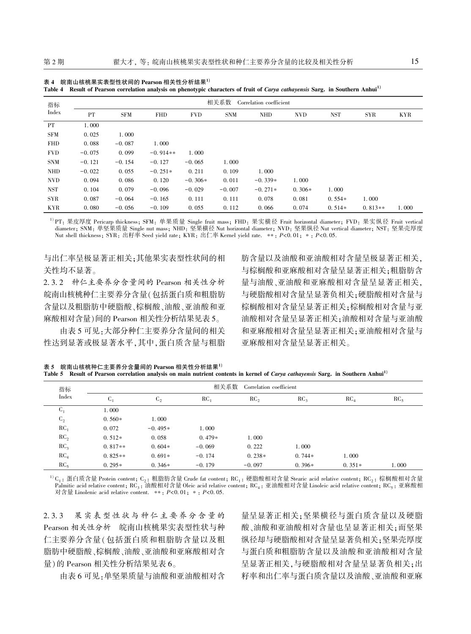| 指标         | 相关系数<br>Correlation coefficient |            |            |            |            |            |            |            |            |            |
|------------|---------------------------------|------------|------------|------------|------------|------------|------------|------------|------------|------------|
| Index      | PT                              | <b>SFM</b> | <b>FHD</b> | <b>FVD</b> | <b>SNM</b> | <b>NHD</b> | <b>NVD</b> | <b>NST</b> | <b>SYR</b> | <b>KYR</b> |
| <b>PT</b>  | 1.000                           |            |            |            |            |            |            |            |            |            |
| <b>SFM</b> | 0.025                           | 1.000      |            |            |            |            |            |            |            |            |
| <b>FHD</b> | 0.088                           | $-0.087$   | 1.000      |            |            |            |            |            |            |            |
| <b>FVD</b> | $-0.075$                        | 0.099      | $-0.914**$ | 1.000      |            |            |            |            |            |            |
| <b>SNM</b> | $-0.121$                        | $-0.154$   | $-0.127$   | $-0.065$   | 1.000      |            |            |            |            |            |
| <b>NHD</b> | $-0.022$                        | 0.055      | $-0.251*$  | 0.211      | 0.109      | 1.000      |            |            |            |            |
| <b>NVD</b> | 0.094                           | 0.086      | 0.120      | $-0.306*$  | 0.011      | $-0.339*$  | 1.000      |            |            |            |
| <b>NST</b> | 0.104                           | 0.079      | $-0.096$   | $-0.029$   | $-0.007$   | $-0.271*$  | $0.306*$   | 1.000      |            |            |
| <b>SYR</b> | 0.087                           | $-0.064$   | $-0.165$   | 0.111      | 0.111      | 0.078      | 0.081      | $0.554*$   | 1.000      |            |
| <b>KYR</b> | 0.080                           | $-0.056$   | $-0.109$   | 0.055      | 0.112      | 0.066      | 0.074      | $0.514*$   | $0.813**$  | 1.000      |

|  | 表 4 皖南山核桃果实表型性状间的 Pearson 相关性分析结果 $^{\rm 1)}$                                                                                              |  |
|--|--------------------------------------------------------------------------------------------------------------------------------------------|--|
|  | Table 4 Result of Pearson correlation analysis on phenotypic characters of fruit of Carya cathayensis Sarg. in Southern Anhui <sup>1</sup> |  |

<sup>1)</sup> PT: 果皮厚度 Pericarp thickness; SFM: 单果质量 Single fruit mass; FHD: 果实横径 Fruit horizontal diameter; FVD: 果实纵径 Fruit vertical diameter; SNM: 单坚果质量 Single nut mass; NHD: 坚果横径 Nut horizontal diameter; NVD: 坚果纵径 Nut vertical diameter; NST: 坚果壳厚度 Nut shell thickness; SYR: 出籽率 Seed yield rate; KYR: 出仁率 Kernel yield rate. ∗∗: P<0. 01; ∗: P<0. 05.

与出仁率呈极显著正相关;其他果实表型性状间的相 关性均不显著。

2. 3. 2 种仁主要养分含量间的 Pearson 相关性分析 皖南山核桃种仁主要养分含量(包括蛋白质和粗脂肪 含量以及粗脂肪中硬脂酸、棕榈酸、油酸、亚油酸和亚 麻酸相对含量)间的 Pearson 相关性分析结果见表 5。

由表 5 可见:大部分种仁主要养分含量间的相关 性达到显著或极显著水平,其中,蛋白质含量与粗脂 肪含量以及油酸和亚油酸相对含量呈极显著正相关, 与棕榈酸和亚麻酸相对含量呈显著正相关;粗脂肪含 量与油酸、亚油酸和亚麻酸相对含量呈显著正相关, 与硬脂酸相对含量呈显著负相关;硬脂酸相对含量与 棕榈酸相对含量呈显著正相关;棕榈酸相对含量与亚 油酸相对含量呈显著正相关;油酸相对含量与亚油酸 和亚麻酸相对含量呈显著正相关;亚油酸相对含量与 亚麻酸相对含量呈显著正相关。

表 5  $\,$ 皖南山核桃种仁主要养分含量间的 Pearson 相关性分析结果 $^{1)}$ Table 5 Result of Pearson correlation analysis on main nutrient contents in kernel of Carya cathayensis Sarg. in Southern Anhui<sup>1)</sup>

| 指标              | 相关系数<br>Correlation coefficient |           |                 |                 |                 |                 |                 |
|-----------------|---------------------------------|-----------|-----------------|-----------------|-----------------|-----------------|-----------------|
| Index           | $C_1$                           | $C_{2}$   | RC <sub>1</sub> | RC <sub>2</sub> | RC <sub>3</sub> | RC <sub>4</sub> | RC <sub>5</sub> |
| $C_1$           | 1.000                           |           |                 |                 |                 |                 |                 |
| C <sub>2</sub>  | $0.560*$                        | 1.000     |                 |                 |                 |                 |                 |
| RC <sub>1</sub> | 0.072                           | $-0.495*$ | 1.000           |                 |                 |                 |                 |
| RC <sub>2</sub> | $0.512*$                        | 0.058     | $0.479*$        | 1.000           |                 |                 |                 |
| RC <sub>3</sub> | $0.817**$                       | $0.604*$  | $-0.069$        | 0.222           | 1.000           |                 |                 |
| RC <sub>4</sub> | $0.825**$                       | $0.691*$  | $-0.174$        | $0.238*$        | $0.744*$        | 1.000           |                 |
| RC <sub>5</sub> | $0.295*$                        | $0.346*$  | $-0.179$        | $-0.097$        | $0.396*$        | $0.351*$        | 1.000           |

 $11^1C_1$ : 蛋白质含量 Protein content; C<sub>2</sub>: 粗脂肪含量 Crude fat content; RC<sub>1</sub>: 硬脂酸相对含量 Stearic acid relative content; RC<sub>2</sub>: 棕榈酸相对含量 Palmitic acid relative content; RC<sub>3</sub>: 油酸相对含量 Oleic acid relative content; RC<sub>4</sub>: 亚油酸相对含量 Linoleic acid relative content; RC<sub>5</sub>: 亚麻酸相 对含量 Linolenic acid relative content. ∗∗: P<0. 01; ∗: P<0. 05.

2. 3. 3 果 实 表 型 性 状 与 种 仁 主 要 养 分 含 量 的 Pearson 相关性分析 皖南山核桃果实表型性状与种 仁主要养分含量(包括蛋白质和粗脂肪含量以及粗 脂肪中硬脂酸、棕榈酸、油酸、亚油酸和亚麻酸相对含 量)的 Pearson 相关性分析结果见表 6。

由表 6 可见:单坚果质量与油酸和亚油酸相对含

量呈显著正相关;坚果横径与蛋白质含量以及硬脂 酸、油酸和亚油酸相对含量也呈显著正相关;而坚果 纵径却与硬脂酸相对含量呈显著负相关;坚果壳厚度 与蛋白质和粗脂肪含量以及油酸和亚油酸相对含量 呈显著正相关,与硬脂酸相对含量呈显著负相关;出 籽率和出仁率与蛋白质含量以及油酸、亚油酸和亚麻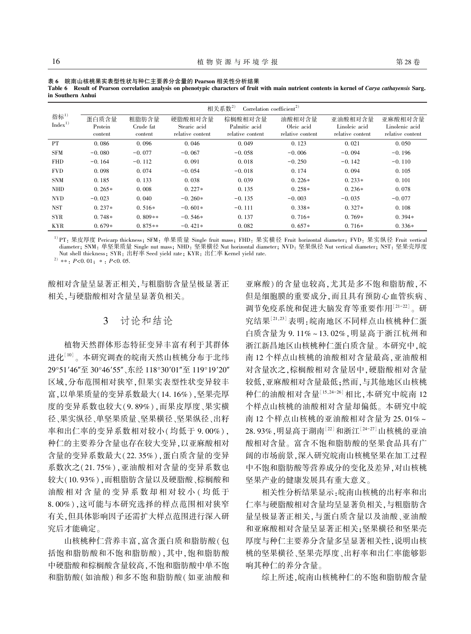|                            | 相关系数 $2$<br>Correlation coefficient <sup>2)</sup> |                               |                                             |                                              |                                          |                                              |                                               |  |  |  |
|----------------------------|---------------------------------------------------|-------------------------------|---------------------------------------------|----------------------------------------------|------------------------------------------|----------------------------------------------|-----------------------------------------------|--|--|--|
| 指标1)<br>Index <sup>1</sup> | 蛋白质含量<br>Protein<br>content                       | 粗脂肪含量<br>Crude fat<br>content | 硬脂酸相对含量<br>Stearic acid<br>relative content | 棕榈酸相对含量<br>Palmitic acid<br>relative content | 油酸相对含量<br>Oleic acid<br>relative content | 亚油酸相对含量<br>Linoleic acid<br>relative content | 亚麻酸相对含量<br>Linolenic acid<br>relative content |  |  |  |
| <b>PT</b>                  | 0.086                                             | 0.096                         | 0.046                                       | 0.049                                        | 0.123                                    | 0.021                                        | 0.050                                         |  |  |  |
| <b>SFM</b>                 | $-0.080$                                          | $-0.077$                      | $-0.067$                                    | $-0.058$                                     | $-0.006$                                 | $-0.094$                                     | $-0.196$                                      |  |  |  |
| <b>FHD</b>                 | $-0.164$                                          | $-0.112$                      | 0.091                                       | 0.018                                        | $-0.250$                                 | $-0.142$                                     | $-0.110$                                      |  |  |  |
| <b>FVD</b>                 | 0.098                                             | 0.074                         | $-0.054$                                    | $-0.018$                                     | 0.174                                    | 0.094                                        | 0.105                                         |  |  |  |
| <b>SNM</b>                 | 0.185                                             | 0.133                         | 0.038                                       | 0.039                                        | $0.226*$                                 | $0.233*$                                     | 0.101                                         |  |  |  |
| <b>NHD</b>                 | $0.265*$                                          | 0.008                         | $0.227*$                                    | 0.135                                        | $0.258*$                                 | $0.236*$                                     | 0.078                                         |  |  |  |
| <b>NVD</b>                 | $-0.023$                                          | 0.040                         | $-0.260*$                                   | $-0.135$                                     | $-0.003$                                 | $-0.035$                                     | $-0.077$                                      |  |  |  |
| <b>NST</b>                 | $0.237*$                                          | $0.516*$                      | $-0.601*$                                   | $-0.111$                                     | $0.338*$                                 | $0.327*$                                     | 0.108                                         |  |  |  |
| <b>SYR</b>                 | $0.748*$                                          | $0.809**$                     | $-0.546*$                                   | 0.137                                        | $0.716*$                                 | $0.769*$                                     | $0.394*$                                      |  |  |  |
| <b>KYR</b>                 | $0.679*$                                          | $0.875**$                     | $-0.421*$                                   | 0.082                                        | $0.657*$                                 | $0.716*$                                     | $0.336*$                                      |  |  |  |

表 6 皖南山核桃果实表型性状与种仁主要养分含量的 Pearson 相关性分析结果 Table 6 Result of Pearson correlation analysis on phenotypic characters of fruit with main nutrient contents in kernel of Carya cathayensis Sarg. in Southern Anhui

<sup>1)</sup> PT: 果皮厚度 Pericarp thickness; SFM: 单果质量 Single fruit mass; FHD: 果实横径 Fruit horizontal diameter; FVD: 果实纵径 Fruit vertical diameter; SNM: 单坚果质量 Single nut mass; NHD: 坚果横径 Nut horizontal diameter; NVD: 坚果纵径 Nut vertical diameter; NST: 坚果壳厚度 Nut shell thickness; SYR: 出籽率 Seed yield rate; KYR: 出仁率 Kernel yield rate.

<sup>2)</sup> \*\*:  $P<0.01$ ; \*:  $P<0.05$ .

酸相对含量呈显著正相关,与粗脂肪含量呈极显著正 相关,与硬脂酸相对含量呈显著负相关。

## 3 讨论和结论

植物天然群体形态特征变异丰富有利于其群体 进化[10] 。 本研究调查的皖南天然山核桃分布于北纬 29°51′46″至 30°46′55″、东经 118°30′01″至 119°19′20″ 区域,分布范围相对狭窄,但果实表型性状变异较丰 富,以单果质量的变异系数最大(14. 16%),坚果壳厚 度的变异系数也较大(9. 89%),而果皮厚度、果实横 径、果实纵径、单坚果质量、坚果横径、坚果纵径、出籽 率和出仁率的变异系数相对较小(均低于 9. 00%), 种仁的主要养分含量也存在较大变异,以亚麻酸相对 含量的变异系数最大(22. 35%),蛋白质含量的变异 系数次之(21. 75%),亚油酸相对含量的变异系数也 较大(10. 93%),而粗脂肪含量以及硬脂酸、棕榈酸和 油酸相对含量的变异系数却相对较小(均低于 8. 00%),这可能与本研究选择的样点范围相对狭窄 有关,但具体影响因子还需扩大样点范围进行深入研 究后才能确定。

山核桃种仁营养丰富,富含蛋白质和脂肪酸(包 括饱和脂肪酸和不饱和脂肪酸),其中,饱和脂肪酸 中硬脂酸和棕榈酸含量较高,不饱和脂肪酸中单不饱 和脂肪酸(如油酸)和多不饱和脂肪酸(如亚油酸和 亚麻酸) 的含量也较高,尤其是多不饱和脂肪酸,不 但是细胞膜的重要成分,而且具有预防心血管疾病、 调节免疫系统和促进大脑发育等重要作用<sup>[21-22]</sup>。研 究结果[21,23] 表明:皖南地区不同样点山核桃种仁蛋 白质含量为 9. 11% ~ 13. 02%,明显高于浙江杭州和 浙江新昌地区山核桃种仁蛋白质含量。 本研究中,皖 南 12 个样点山核桃的油酸相对含量最高,亚油酸相 对含量次之,棕榈酸相对含量居中,硬脂酸相对含量 较低,亚麻酸相对含量最低;然而,与其他地区山核桃 种仁的油酸相对含量[15,24-26] 相比,本研究中皖南 12 个样点山核桃的油酸相对含量却偏低。 本研究中皖 南 12 个样点山核桃的亚油酸相对含量为 25. 01% ~ 28.93%,明显高于湖南[22]和浙江[24-27]山核桃的亚油 酸相对含量。 富含不饱和脂肪酸的坚果食品具有广 阔的市场前景,深入研究皖南山核桃坚果在加工过程 中不饱和脂肪酸等营养成分的变化及差异,对山核桃 坚果产业的健康发展具有重大意义。

相关性分析结果显示:皖南山核桃的出籽率和出 仁率与硬脂酸相对含量均呈显著负相关,与粗脂肪含 量呈极显著正相关,与蛋白质含量以及油酸、亚油酸 和亚麻酸相对含量呈显著正相关;坚果横径和坚果壳 厚度与种仁主要养分含量多呈显著相关性,说明山核 桃的坚果横径、坚果壳厚度、出籽率和出仁率能够影 响其种仁的养分含量。

综上所述,皖南山核桃种仁的不饱和脂肪酸含量